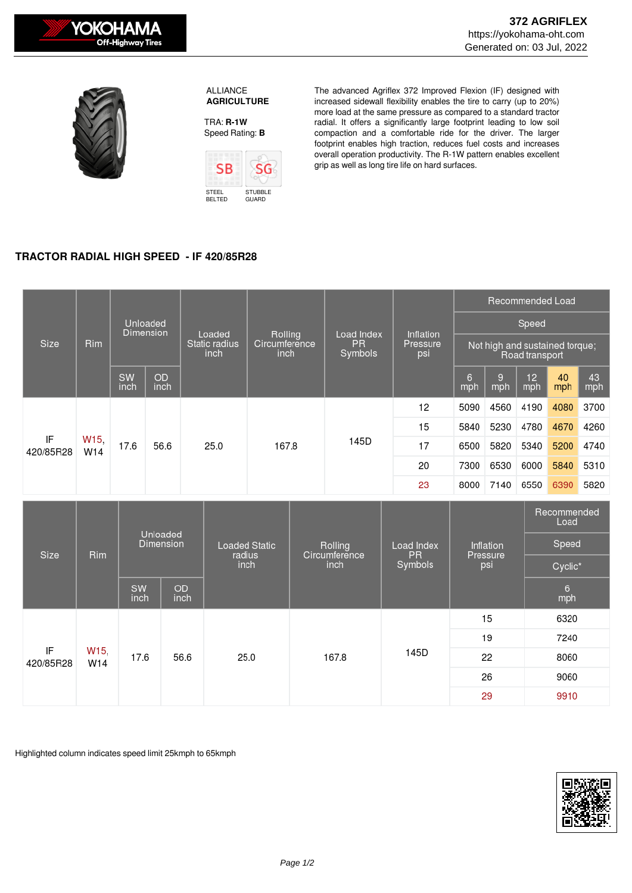



 ALLIANCE  **AGRICULTURE**

TRA: **R-1W** Speed Rating: **B**



The advanced Agriflex 372 Improved Flexion (IF) designed with increased sidewall flexibility enables the tire to carry (up to 20%) more load at the same pressure as compared to a standard tractor radial. It offers a significantly large footprint leading to low soil compaction and a comfortable ride for the driver. The larger footprint enables high traction, reduces fuel costs and increases overall operation productivity. The R-1W pattern enables excellent grip as well as long tire life on hard surfaces.

## **TRACTOR RADIAL HIGH SPEED - IF 420/85R28**

| <b>Size</b>     | <b>Rim</b>             | Unloaded<br>Dimension |                   | Loaded<br>Static radius<br>inch | Rolling<br>Circumference<br>inch | Load Index<br>PR.<br>Symbols | Inflation<br>Pressure<br>psi | Recommended Load                                 |          |                        |           |           |
|-----------------|------------------------|-----------------------|-------------------|---------------------------------|----------------------------------|------------------------------|------------------------------|--------------------------------------------------|----------|------------------------|-----------|-----------|
|                 |                        |                       |                   |                                 |                                  |                              |                              | Speed                                            |          |                        |           |           |
|                 |                        |                       |                   |                                 |                                  |                              |                              | Not high and sustained torque;<br>Road transport |          |                        |           |           |
|                 |                        | SW<br>inch            | <b>OD</b><br>inch |                                 |                                  |                              |                              | 6<br>mph                                         | 9<br>mph | 12 <sup>2</sup><br>mph | 40<br>mph | 43<br>mph |
| IF<br>420/85R28 | W <sub>15</sub><br>W14 | 17.6                  | 56.6              | 25.0                            | 167.8                            | 145D                         | 12                           | 5090                                             | 4560     | 4190                   | 4080      | 3700      |
|                 |                        |                       |                   |                                 |                                  |                              | 15                           | 5840                                             | 5230     | 4780                   | 4670      | 4260      |
|                 |                        |                       |                   |                                 |                                  |                              | 17                           | 6500                                             | 5820     | 5340                   | 5200      | 4740      |
|                 |                        |                       |                   |                                 |                                  |                              | 20                           | 7300                                             | 6530     | 6000                   | 5840      | 5310      |
|                 |                        |                       |                   |                                 |                                  |                              | 23                           | 8000                                             | 7140     | 6550                   | 6390      | 5820      |

| Size            | Rim         | <b>Unloaded</b><br><b>Dimension</b> |                   | Loaded Static<br>radius<br>inch | Rolling<br>Circumference<br>inch | Load Index<br><b>PR</b><br>Symbols | Inflation<br>Pressure<br>psi | Recommended<br>Load<br>Speed<br>Cyclic* |  |
|-----------------|-------------|-------------------------------------|-------------------|---------------------------------|----------------------------------|------------------------------------|------------------------------|-----------------------------------------|--|
|                 |             | <b>SW</b><br>inch                   | <b>OD</b><br>inch |                                 |                                  |                                    |                              | $6\overline{6}$<br>mph                  |  |
| IF<br>420/85R28 | W15,<br>W14 | 17.6                                | 56.6              | 25.0                            | 167.8                            | 145D                               | 15                           | 6320                                    |  |
|                 |             |                                     |                   |                                 |                                  |                                    | 19                           | 7240                                    |  |
|                 |             |                                     |                   |                                 |                                  |                                    | 22                           | 8060                                    |  |
|                 |             |                                     |                   |                                 |                                  |                                    | 26                           | 9060                                    |  |
|                 |             |                                     |                   |                                 |                                  |                                    | 29                           | 9910                                    |  |

Highlighted column indicates speed limit 25kmph to 65kmph